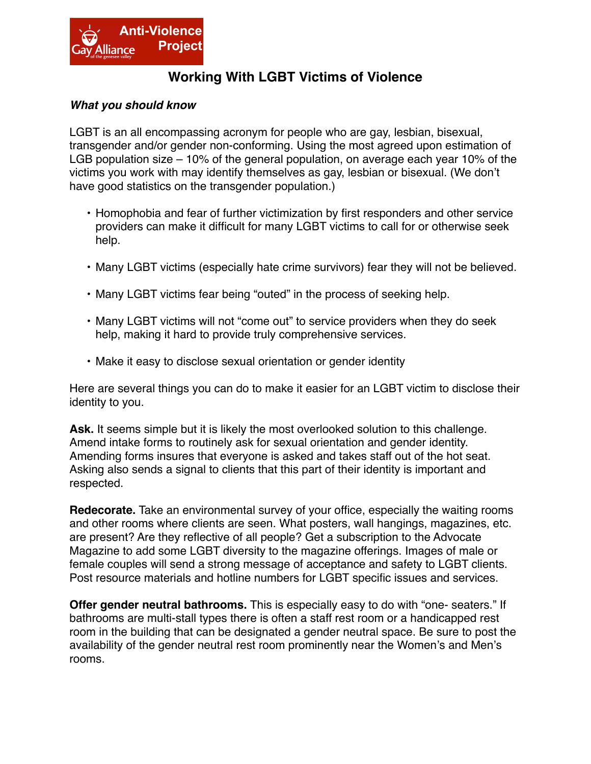

## **Working With LGBT Victims of Violence**

## *What you should know*

LGBT is an all encompassing acronym for people who are gay, lesbian, bisexual, transgender and/or gender non-conforming. Using the most agreed upon estimation of LGB population size – 10% of the general population, on average each year 10% of the victims you work with may identify themselves as gay, lesbian or bisexual. (We don't have good statistics on the transgender population.)

- Homophobia and fear of further victimization by first responders and other service providers can make it difficult for many LGBT victims to call for or otherwise seek help.
- Many LGBT victims (especially hate crime survivors) fear they will not be believed.
- Many LGBT victims fear being "outed" in the process of seeking help.
- Many LGBT victims will not "come out" to service providers when they do seek help, making it hard to provide truly comprehensive services.
- Make it easy to disclose sexual orientation or gender identity

Here are several things you can do to make it easier for an LGBT victim to disclose their identity to you.

Ask. It seems simple but it is likely the most overlooked solution to this challenge. Amend intake forms to routinely ask for sexual orientation and gender identity. Amending forms insures that everyone is asked and takes staff out of the hot seat. Asking also sends a signal to clients that this part of their identity is important and respected.

**Redecorate.** Take an environmental survey of your office, especially the waiting rooms and other rooms where clients are seen. What posters, wall hangings, magazines, etc. are present? Are they reflective of all people? Get a subscription to the Advocate Magazine to add some LGBT diversity to the magazine offerings. Images of male or female couples will send a strong message of acceptance and safety to LGBT clients. Post resource materials and hotline numbers for LGBT specific issues and services.

**Offer gender neutral bathrooms.** This is especially easy to do with "one- seaters." If bathrooms are multi-stall types there is often a staff rest room or a handicapped rest room in the building that can be designated a gender neutral space. Be sure to post the availability of the gender neutral rest room prominently near the Women's and Men's rooms.